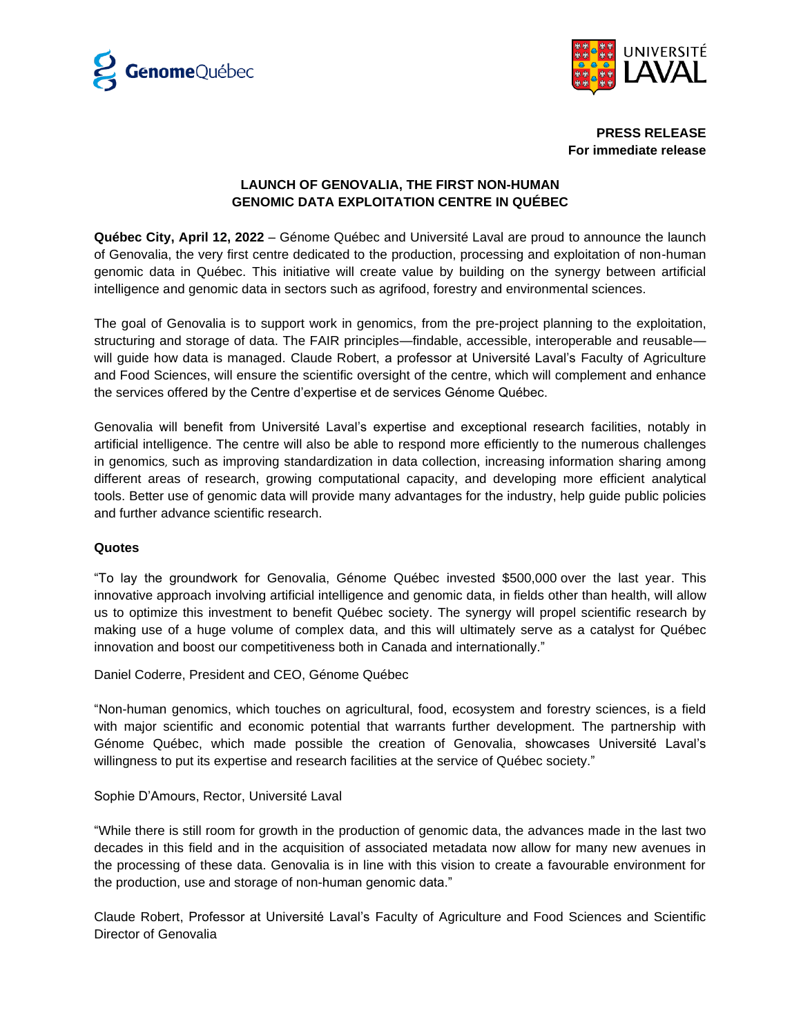



**PRESS RELEASE For immediate release**

## **LAUNCH OF GENOVALIA, THE FIRST NON-HUMAN GENOMIC DATA EXPLOITATION CENTRE IN QUÉBEC**

**Québec City, April 12, 2022** – Génome Québec and Université Laval are proud to announce the launch of Genovalia, the very first centre dedicated to the production, processing and exploitation of non-human genomic data in Québec. This initiative will create value by building on the synergy between artificial intelligence and genomic data in sectors such as agrifood, forestry and environmental sciences.

The goal of Genovalia is to support work in genomics, from the pre-project planning to the exploitation, structuring and storage of data. The FAIR principles—findable, accessible, interoperable and reusable will guide how data is managed. Claude Robert, a professor at Université Laval's Faculty of Agriculture and Food Sciences, will ensure the scientific oversight of the centre, which will complement and enhance the services offered by the Centre d'expertise et de services Génome Québec.

Genovalia will benefit from Université Laval's expertise and exceptional research facilities, notably in artificial intelligence. The centre will also be able to respond more efficiently to the numerous challenges in genomics, such as improving standardization in data collection, increasing information sharing among different areas of research, growing computational capacity, and developing more efficient analytical tools. Better use of genomic data will provide many advantages for the industry, help guide public policies and further advance scientific research.

## **Quotes**

"To lay the groundwork for Genovalia, Génome Québec invested \$500,000 over the last year. This innovative approach involving artificial intelligence and genomic data, in fields other than health, will allow us to optimize this investment to benefit Québec society. The synergy will propel scientific research by making use of a huge volume of complex data, and this will ultimately serve as a catalyst for Québec innovation and boost our competitiveness both in Canada and internationally."

Daniel Coderre, President and CEO, Génome Québec

"Non-human genomics, which touches on agricultural, food, ecosystem and forestry sciences, is a field with major scientific and economic potential that warrants further development. The partnership with Génome Québec, which made possible the creation of Genovalia, showcases Université Laval's willingness to put its expertise and research facilities at the service of Québec society."

Sophie D'Amours, Rector, Université Laval

"While there is still room for growth in the production of genomic data, the advances made in the last two decades in this field and in the acquisition of associated metadata now allow for many new avenues in the processing of these data. Genovalia is in line with this vision to create a favourable environment for the production, use and storage of non-human genomic data."

Claude Robert, Professor at Université Laval's Faculty of Agriculture and Food Sciences and Scientific Director of Genovalia